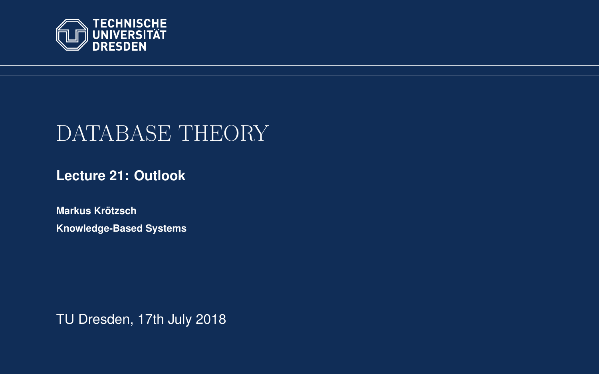<span id="page-0-0"></span>

# DATABASE THEORY

**[Lecture 21: Outlook](https://iccl.inf.tu-dresden.de/web/Database_Theory_(SS2018))**

**[Markus Krotzsch](https://iccl.inf.tu-dresden.de/web/Markus_Kr%C3%B6tzsch/en) ¨ Knowledge-Based Systems**

TU Dresden, 17th July 2018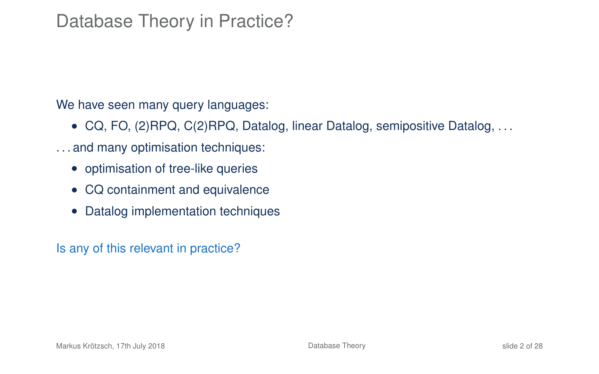# Database Theory in Practice?

We have seen many query languages:

- CQ, FO, (2)RPQ, C(2)RPQ, Datalog, linear Datalog, semipositive Datalog, . . .
- . . . and many optimisation techniques:
	- optimisation of tree-like queries
	- CQ containment and equivalence
	- Datalog implementation techniques

Is any of this relevant in practice?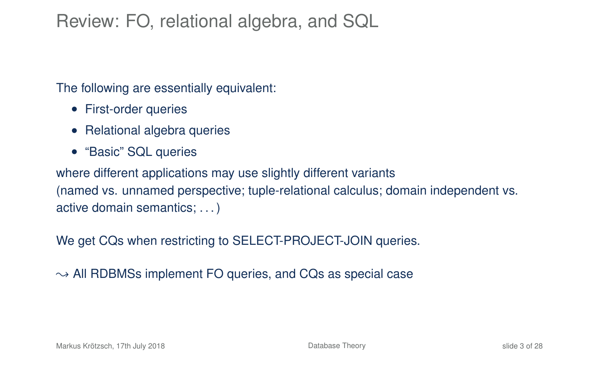# Review: FO, relational algebra, and SQL

The following are essentially equivalent:

- First-order queries
- Relational algebra queries
- "Basic" SQL queries

where different applications may use slightly different variants (named vs. unnamed perspective; tuple-relational calculus; domain independent vs. active domain semantics; . . . )

We get CQs when restricting to SELECT-PROJECT-JOIN queries.

 $\rightarrow$  All RDBMSs implement FO queries, and CQs as special case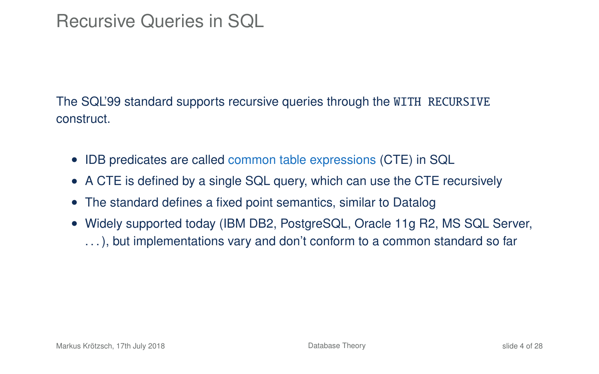## Recursive Queries in SQL

The SQL'99 standard supports recursive queries through the WITH RECURSIVE construct.

- IDB predicates are called common table expressions (CTE) in SQL
- A CTE is defined by a single SQL query, which can use the CTE recursively
- The standard defines a fixed point semantics, similar to Datalog
- Widely supported today (IBM DB2, PostgreSQL, Oracle 11g R2, MS SQL Server, . . . ), but implementations vary and don't conform to a common standard so far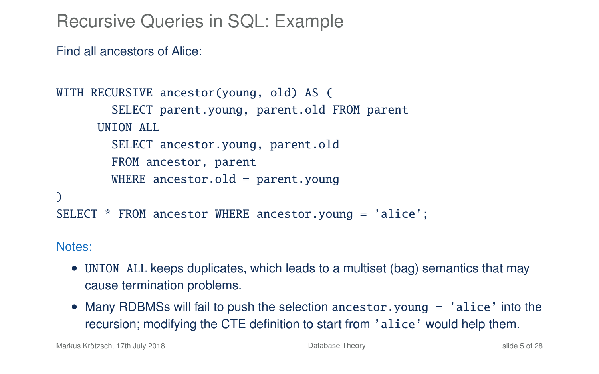Recursive Queries in SQL: Example

Find all ancestors of Alice:

```
WITH RECURSIVE ancestor(young, old) AS (
        SELECT parent.young, parent.old FROM parent
      INTON ALL
        SELECT ancestor.young, parent.old
        FROM ancestor, parent
        WHERE ancestor.old = parent.young
\lambdaSELECT * FROM ancestor WHERE ancestor.young = 'alice';
```
Notes:

- UNION ALL keeps duplicates, which leads to a multiset (bag) semantics that may cause termination problems.
- Many RDBMSs will fail to push the selection ancestor.young = 'alice' into the recursion; modifying the CTE definition to start from 'alice' would help them.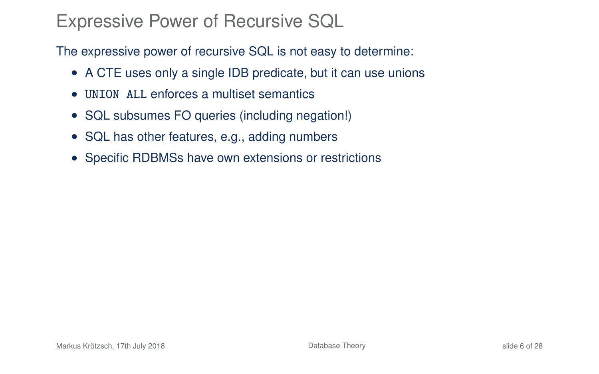### Expressive Power of Recursive SQL

The expressive power of recursive SQL is not easy to determine:

- A CTE uses only a single IDB predicate, but it can use unions
- UNION ALL enforces a multiset semantics
- SQL subsumes FO queries (including negation!)
- SQL has other features, e.g., adding numbers
- Specific RDBMSs have own extensions or restrictions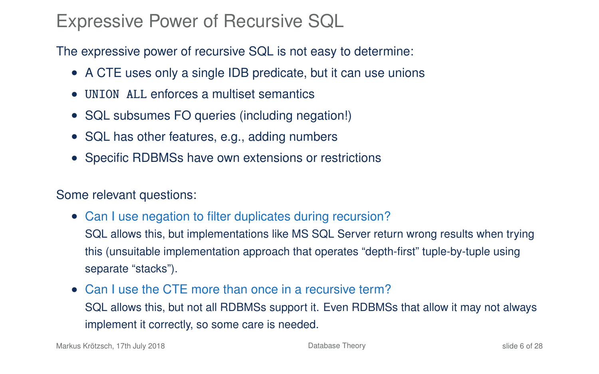### Expressive Power of Recursive SQL

The expressive power of recursive SQL is not easy to determine:

- A CTE uses only a single IDB predicate, but it can use unions
- UNION ALL enforces a multiset semantics
- SQL subsumes FO queries (including negation!)
- SQL has other features, e.g., adding numbers
- Specific RDBMSs have own extensions or restrictions

#### Some relevant questions:

- Can I use negation to filter duplicates during recursion? SQL allows this, but implementations like MS SQL Server return wrong results when trying this (unsuitable implementation approach that operates "depth-first" tuple-by-tuple using separate "stacks").
- Can I use the CTE more than once in a recursive term? SQL allows this, but not all RDBMSs support it. Even RDBMSs that allow it may not always implement it correctly, so some care is needed.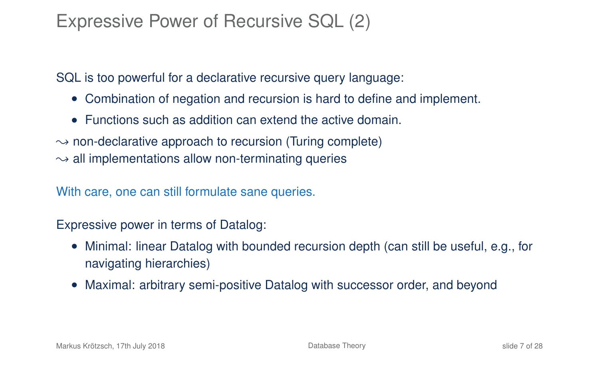# Expressive Power of Recursive SQL (2)

SQL is too powerful for a declarative recursive query language:

- Combination of negation and recursion is hard to define and implement.
- Functions such as addition can extend the active domain.
- $\rightarrow$  non-declarative approach to recursion (Turing complete)
- $\rightarrow$  all implementations allow non-terminating queries

With care, one can still formulate sane queries.

Expressive power in terms of Datalog:

- Minimal: linear Datalog with bounded recursion depth (can still be useful, e.g., for navigating hierarchies)
- Maximal: arbitrary semi-positive Datalog with successor order, and beyond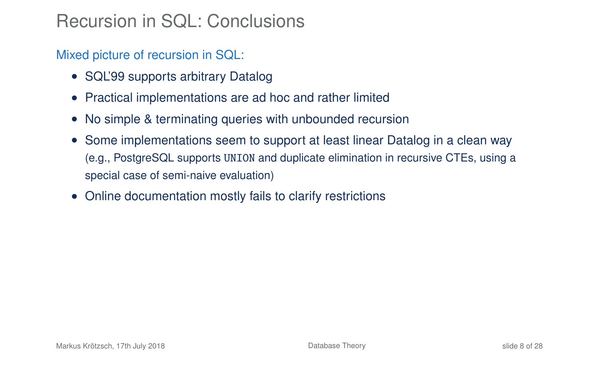# Recursion in SQL: Conclusions

Mixed picture of recursion in SQL:

- SQL'99 supports arbitrary Datalog
- Practical implementations are ad hoc and rather limited
- No simple & terminating queries with unbounded recursion
- Some implementations seem to support at least linear Datalog in a clean way (e.g., PostgreSQL supports UNION and duplicate elimination in recursive CTEs, using a special case of semi-naive evaluation)
- Online documentation mostly fails to clarify restrictions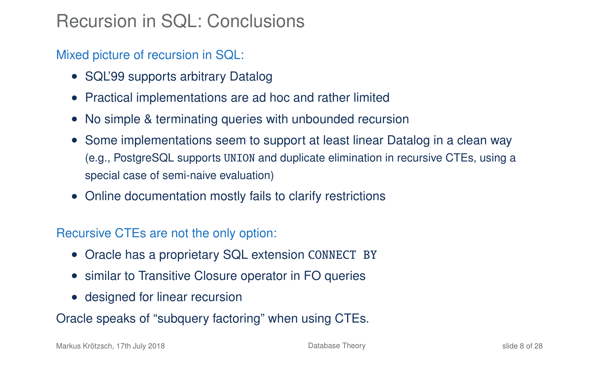# Recursion in SQL: Conclusions

Mixed picture of recursion in SQL:

- SQL'99 supports arbitrary Datalog
- Practical implementations are ad hoc and rather limited
- No simple & terminating queries with unbounded recursion
- Some implementations seem to support at least linear Datalog in a clean way (e.g., PostgreSQL supports UNION and duplicate elimination in recursive CTEs, using a special case of semi-naive evaluation)
- Online documentation mostly fails to clarify restrictions

Recursive CTEs are not the only option:

- Oracle has a proprietary SQL extension CONNECT BY
- similar to Transitive Closure operator in FO queries
- designed for linear recursion

Oracle speaks of "subquery factoring" when using CTEs.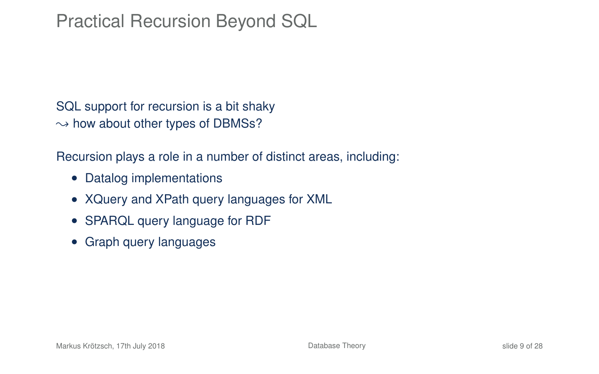# Practical Recursion Beyond SQL

SQL support for recursion is a bit shaky  $\rightarrow$  how about other types of DBMSs?

Recursion plays a role in a number of distinct areas, including:

- Datalog implementations
- XQuery and XPath query languages for XML
- SPARQL query language for RDF
- Graph query languages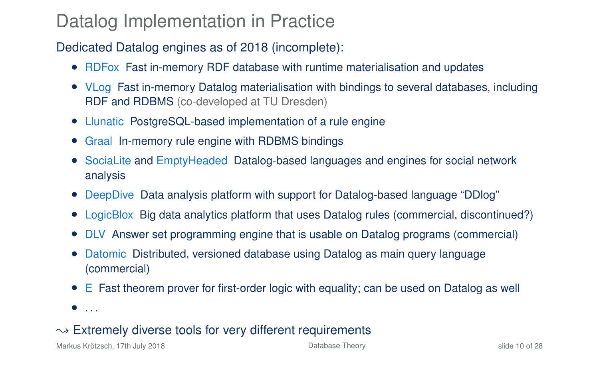### Datalog Implementation in Practice

#### Dedicated Datalog engines as of 2018 (incomplete):

- RDFox Fast in-memory RDF database with runtime materialisation and updates
- VLog Fast in-memory Datalog materialisation with bindings to several databases, including RDF and RDBMS (co-developed at TU Dresden)
- Llunatic PostgreSQL-based implementation of a rule engine
- Graal In-memory rule engine with RDBMS bindings
- SociaLite and EmptyHeaded Datalog-based languages and engines for social network analysis
- DeepDive Data analysis platform with support for Datalog-based language "DDlog"
- LogicBlox Big data analytics platform that uses Datalog rules (commercial, discontinued?)
- DLV Answer set programming engine that is usable on Datalog programs (commercial)
- Datomic Distributed, versioned database using Datalog as main query language (commercial)
- E Fast theorem prover for first-order logic with equality; can be used on Datalog as well
- $\bullet$  ...

#### $\rightarrow$  Extremely diverse tools for very different requirements

Markus Krötzsch, 17th July 2018 **[Database Theory](#page-0-0)** Database Theory **Slide 10 of 28** slide 10 of 28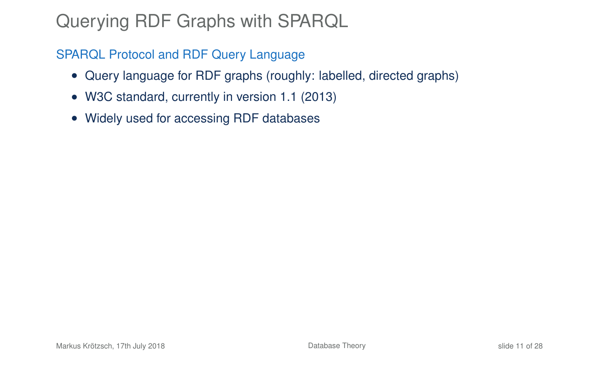# Querying RDF Graphs with SPARQL

SPARQL Protocol and RDF Query Language

- Query language for RDF graphs (roughly: labelled, directed graphs)
- W3C standard, currently in version 1.1 (2013)
- Widely used for accessing RDF databases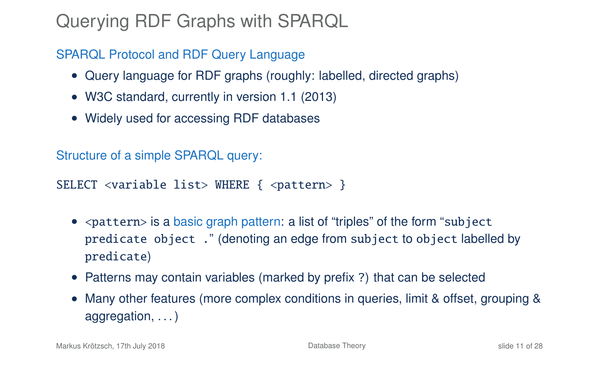# Querying RDF Graphs with SPARQL

SPARQL Protocol and RDF Query Language

- Query language for RDF graphs (roughly: labelled, directed graphs)
- W3C standard, currently in version 1.1 (2013)
- Widely used for accessing RDF databases

Structure of a simple SPARQL query:

SELECT <variable list> WHERE { <pattern> }

- < pattern> is a basic graph pattern: a list of "triples" of the form "subject" predicate object ." (denoting an edge from subject to object labelled by predicate)
- Patterns may contain variables (marked by prefix ?) that can be selected
- Many other features (more complex conditions in queries, limit & offset, grouping & aggregation, . . . )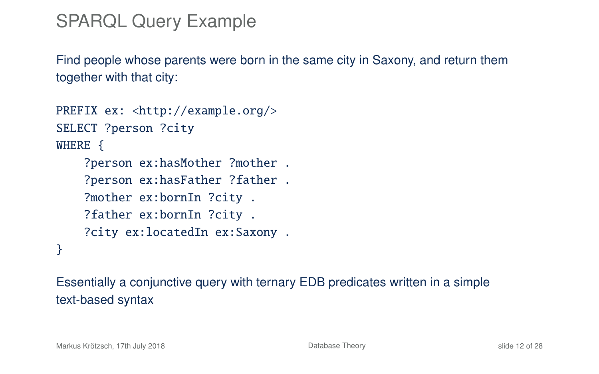# SPARQL Query Example

Find people whose parents were born in the same city in Saxony, and return them together with that city:

```
PREFIX ex: <http://example.org/>
SELECT ?person ?city
WHERE {
    ?person ex:hasMother ?mother .
    ?person ex:hasFather ?father .
    ?mother ex:bornIn ?city .
    ?father ex:bornIn ?city .
    ?city ex:locatedIn ex:Saxony .
}
```
Essentially a conjunctive query with ternary EDB predicates written in a simple text-based syntax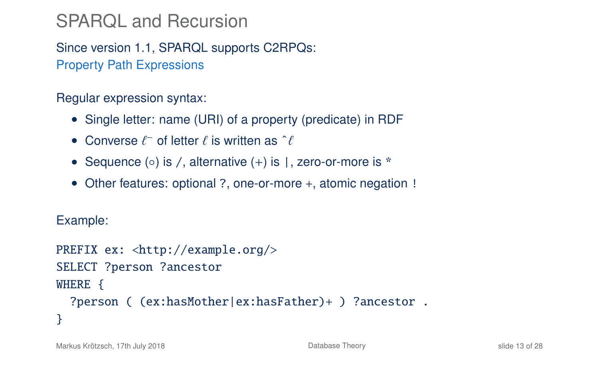# SPARQL and Recursion

Since version 1.1, SPARQL supports C2RPQs: Property Path Expressions

Regular expression syntax:

- Single letter: name (URI) of a property (predicate) in RDF
- Converse  $\ell^-$  of letter  $\ell$  is written as  $\hat{\ell}$
- Sequence (○) is /, alternative (+) is |, zero-or-more is \*
- Other features: optional ?, one-or-more +, atomic negation !

Example:

```
PREFIX ex: <http://example.org/>
SELECT ?person ?ancestor
WHERE {
  ?person ( (ex:hasMother|ex:hasFather)+ ) ?ancestor .
}
```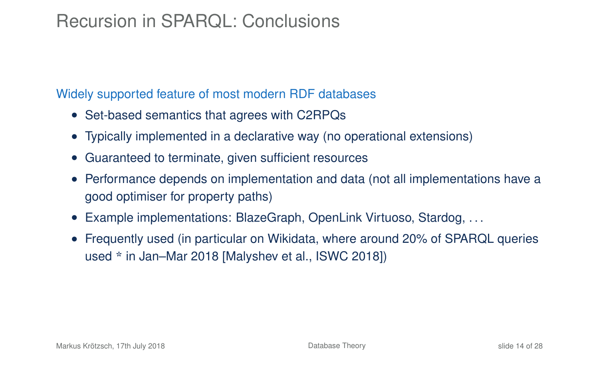# Recursion in SPARQL: Conclusions

#### Widely supported feature of most modern RDF databases

- Set-based semantics that agrees with C2RPQs
- Typically implemented in a declarative way (no operational extensions)
- Guaranteed to terminate, given sufficient resources
- Performance depends on implementation and data (not all implementations have a good optimiser for property paths)
- Example implementations: BlazeGraph, OpenLink Virtuoso, Stardog, . . .
- Frequently used (in particular on Wikidata, where around 20% of SPARQL queries used \* in Jan–Mar 2018 [Malyshev et al., ISWC 2018])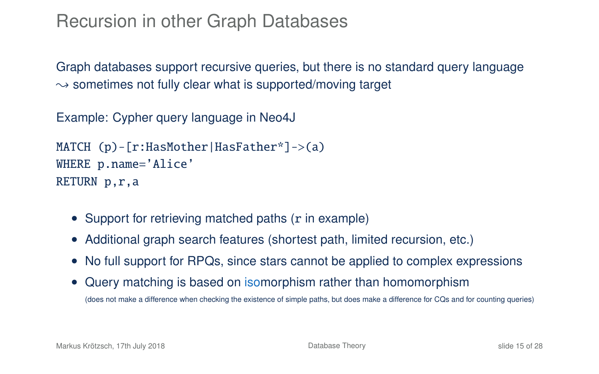### Recursion in other Graph Databases

Graph databases support recursive queries, but there is no standard query language  $\sim$  sometimes not fully clear what is supported/moving target

Example: Cypher query language in Neo4J

```
MATCH (p)-[r:HasMother|HasFather*]->(a)
WHERE p.name='Alice'
RETURN p,r,a
```
- Support for retrieving matched paths (r in example)
- Additional graph search features (shortest path, limited recursion, etc.)
- No full support for RPQs, since stars cannot be applied to complex expressions
- Query matching is based on isomorphism rather than homomorphism (does not make a difference when checking the existence of simple paths, but does make a difference for CQs and for counting queries)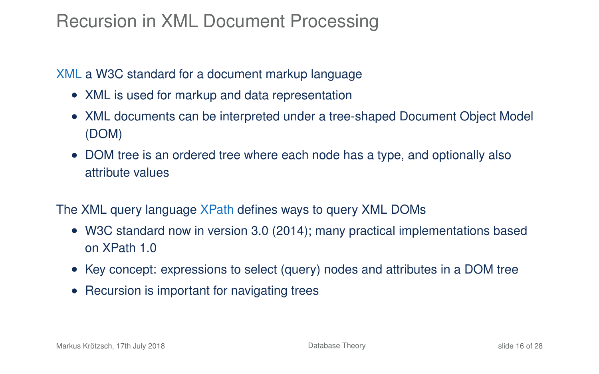# Recursion in XML Document Processing

XML a W3C standard for a document markup language

- XML is used for markup and data representation
- XML documents can be interpreted under a tree-shaped Document Object Model (DOM)
- DOM tree is an ordered tree where each node has a type, and optionally also attribute values
- The XML query language XPath defines ways to query XML DOMs
	- W3C standard now in version 3.0 (2014); many practical implementations based on XPath 1.0
	- Key concept: expressions to select (query) nodes and attributes in a DOM tree
	- Recursion is important for navigating trees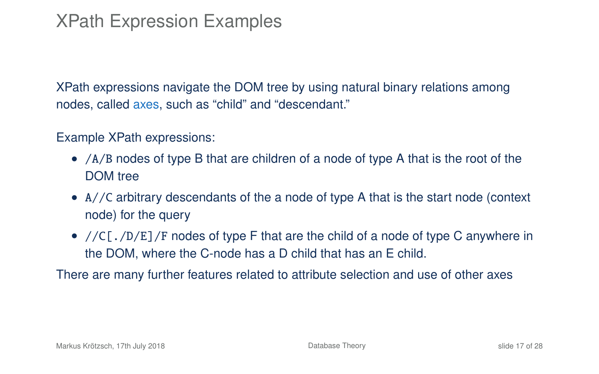# XPath Expression Examples

XPath expressions navigate the DOM tree by using natural binary relations among nodes, called axes, such as "child" and "descendant."

#### Example XPath expressions:

- /A/B nodes of type B that are children of a node of type A that is the root of the DOM tree
- A//C arbitrary descendants of the a node of type A that is the start node (context node) for the query
- $//C[./D/E]/F$  nodes of type F that are the child of a node of type C anywhere in the DOM, where the C-node has a D child that has an E child.

There are many further features related to attribute selection and use of other axes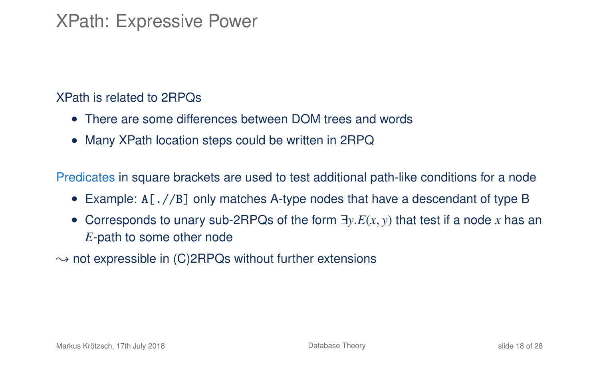### XPath: Expressive Power

#### XPath is related to 2RPQs

- There are some differences between DOM trees and words
- Many XPath location steps could be written in 2RPQ

Predicates in square brackets are used to test additional path-like conditions for a node

- Example: A [.//B] only matches A-type nodes that have a descendant of type B
- Corresponds to unary sub-2RPQs of the form <sup>∃</sup>*y*.*E*(*x*, *<sup>y</sup>*) that test if a node *<sup>x</sup>* has an *E*-path to some other node
- $\rightarrow$  not expressible in (C)2RPQs without further extensions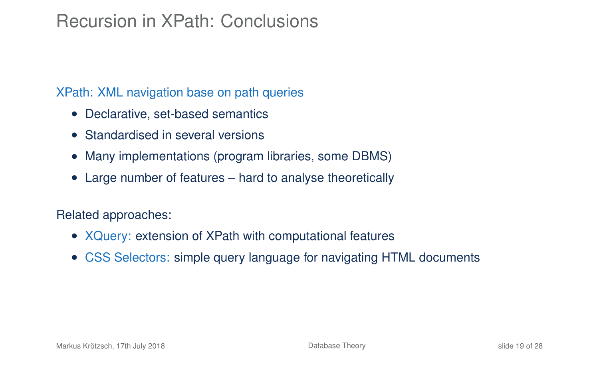# Recursion in XPath: Conclusions

#### XPath: XML navigation base on path queries

- Declarative, set-based semantics
- Standardised in several versions
- Many implementations (program libraries, some DBMS)
- Large number of features hard to analyse theoretically

#### Related approaches:

- XQuery: extension of XPath with computational features
- CSS Selectors: simple query language for navigating HTML documents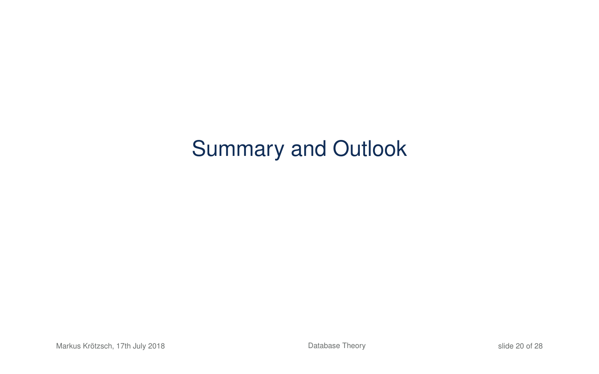# Summary and Outlook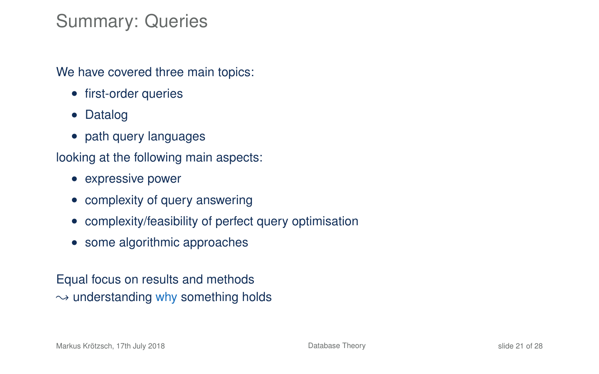### Summary: Queries

We have covered three main topics:

- first-order queries
- Datalog
- path query languages

looking at the following main aspects:

- expressive power
- complexity of query answering
- complexity/feasibility of perfect query optimisation
- some algorithmic approaches

Equal focus on results and methods  $\rightarrow$  understanding why something holds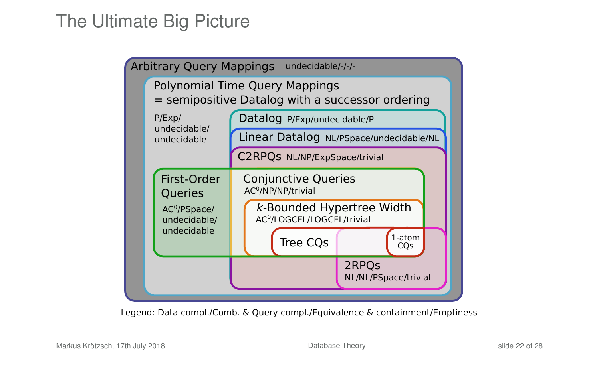# The Ultimate Big Picture



Legend: Data compl./Comb. & Query compl./Equivalence & containment/Emptiness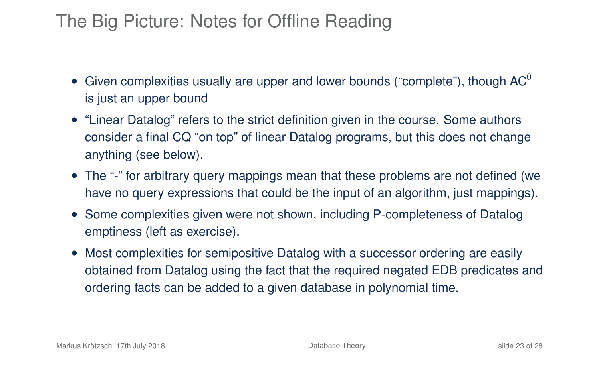# The Big Picture: Notes for Offline Reading

- Given complexities usually are upper and lower bounds ("complete"), though  $AC^0$ is just an upper bound
- "Linear Datalog" refers to the strict definition given in the course. Some authors consider a final CQ "on top" of linear Datalog programs, but this does not change anything (see below).
- The "-" for arbitrary query mappings mean that these problems are not defined (we have no query expressions that could be the input of an algorithm, just mappings).
- Some complexities given were not shown, including P-completeness of Datalog emptiness (left as exercise).
- Most complexities for semipositive Datalog with a successor ordering are easily obtained from Datalog using the fact that the required negated EDB predicates and ordering facts can be added to a given database in polynomial time.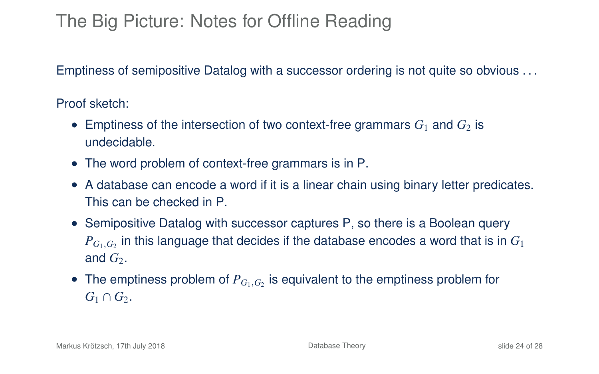# The Big Picture: Notes for Offline Reading

Emptiness of semipositive Datalog with a successor ordering is not quite so obvious . . .

Proof sketch:

- Emptiness of the intersection of two context-free grammars  $G_1$  and  $G_2$  is undecidable.
- The word problem of context-free grammars is in P.
- A database can encode a word if it is a linear chain using binary letter predicates. This can be checked in P.
- Semipositive Datalog with successor captures P, so there is a Boolean query  $P_{G_1,G_2}$  in this language that decides if the database encodes a word that is in  $G_1$ and  $G_2$ .
- The emptiness problem of *<sup>P</sup><sup>G</sup>*1,*G*<sup>2</sup> is equivalent to the emptiness problem for  $G_1 \cap G_2$ .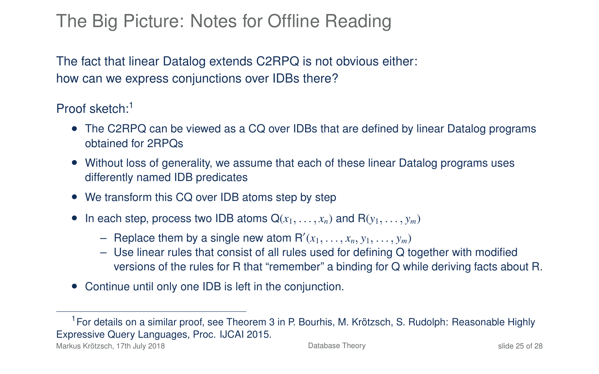# The Big Picture: Notes for Offline Reading

The fact that linear Datalog extends C2RPQ is not obvious either: how can we express conjunctions over IDBs there?

Proof sketch:<sup>1</sup>

- The C2RPQ can be viewed as a CQ over IDBs that are defined by linear Datalog programs obtained for 2RPQs
- Without loss of generality, we assume that each of these linear Datalog programs uses differently named IDB predicates
- We transform this CQ over IDB atoms step by step
- In each step, process two IDB atoms  $Q(x_1, \ldots, x_n)$  and  $R(y_1, \ldots, y_m)$ 
	- Replace them by a single new atom  $R'(x_1, \ldots, x_n, y_1, \ldots, y_m)$ <br>- Use linear rules that consist of all rules used for defining O t
	- Use linear rules that consist of all rules used for defining Q together with modified versions of the rules for R that "remember" a binding for Q while deriving facts about R.
- Continue until only one IDB is left in the conjunction.

<sup>&</sup>lt;sup>1</sup> For details on a similar proof, see Theorem 3 in P. Bourhis, M. Krötzsch, S. Rudolph: Reasonable Highly Expressive Query Languages, Proc. IJCAI 2015.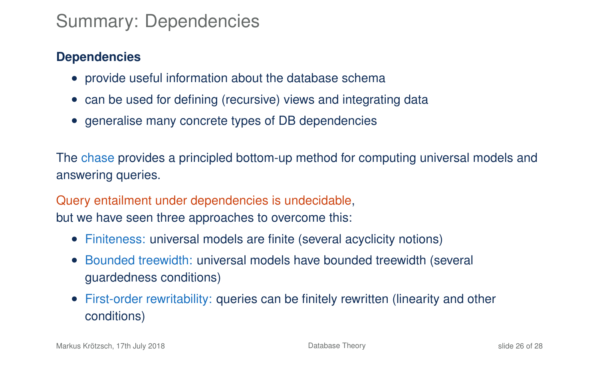# Summary: Dependencies

#### **Dependencies**

- provide useful information about the database schema
- can be used for defining (recursive) views and integrating data
- generalise many concrete types of DB dependencies

The chase provides a principled bottom-up method for computing universal models and answering queries.

Query entailment under dependencies is undecidable, but we have seen three approaches to overcome this:

- Finiteness: universal models are finite (several acyclicity notions)
- Bounded treewidth: universal models have bounded treewidth (several guardedness conditions)
- First-order rewritability: queries can be finitely rewritten (linearity and other conditions)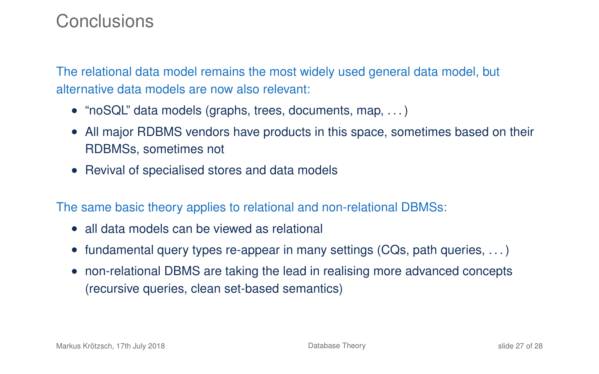### **Conclusions**

The relational data model remains the most widely used general data model, but alternative data models are now also relevant:

- "noSQL" data models (graphs, trees, documents, map, ...)
- All major RDBMS vendors have products in this space, sometimes based on their RDBMSs, sometimes not
- Revival of specialised stores and data models

The same basic theory applies to relational and non-relational DBMSs:

- all data models can be viewed as relational
- fundamental query types re-appear in many settings (CQs, path queries,  $\dots$ )
- non-relational DBMS are taking the lead in realising more advanced concepts (recursive queries, clean set-based semantics)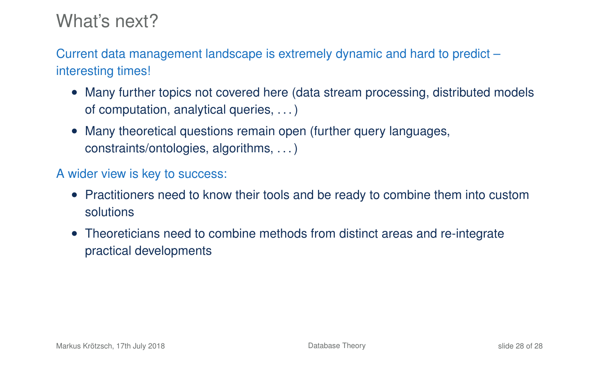### What's next?

Current data management landscape is extremely dynamic and hard to predict – interesting times!

- Many further topics not covered here (data stream processing, distributed models of computation, analytical queries, . . . )
- Many theoretical questions remain open (further query languages, constraints/ontologies, algorithms, . . . )

#### A wider view is key to success:

- Practitioners need to know their tools and be ready to combine them into custom solutions
- Theoreticians need to combine methods from distinct areas and re-integrate practical developments